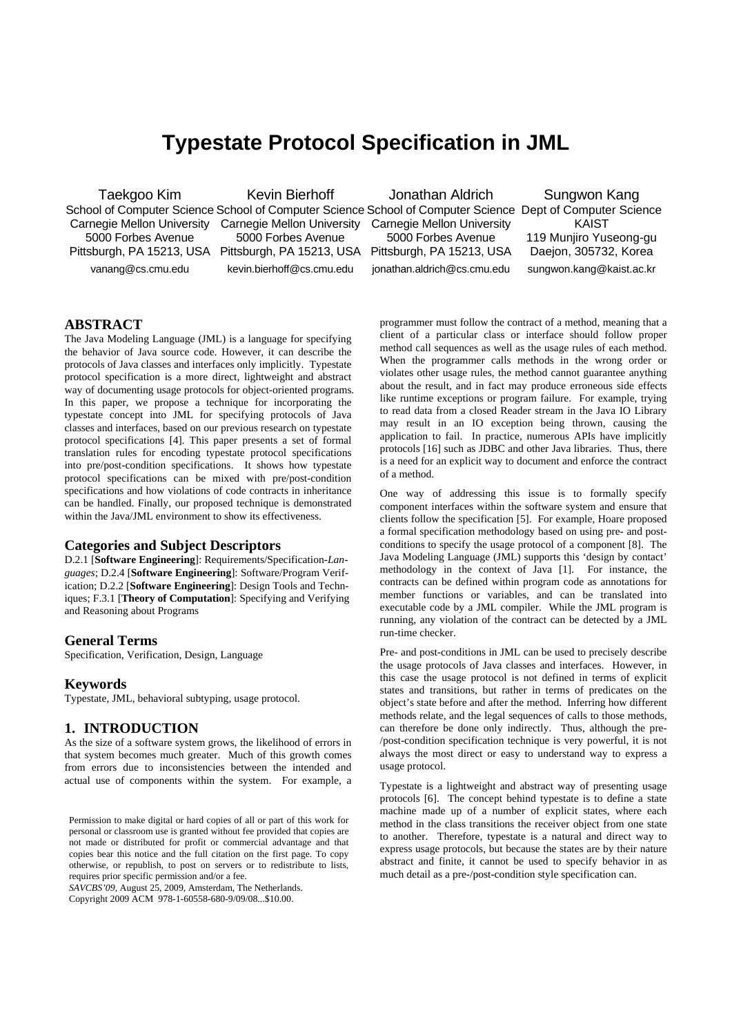# **Typestate Protocol Specification in JML**

Taekgoo Kim School of Computer Science School of Computer Science School of Computer Science Dept of Computer Science Carnegie Mellon University Carnegie Mellon University 5000 Forbes Avenue vanang@cs.cmu.edu

Kevin Bierhoff

5000 Forbes Avenue kevin.bierhoff@cs.cmu.edu

Pittsburgh, PA 15213, USA Pittsburgh, PA 15213, USA Pittsburgh, PA 15213, USA Jonathan Aldrich Carnegie Mellon University 5000 Forbes Avenue jonathan.aldrich@cs.cmu.edu

Sungwon Kang KAIST 119 Munjiro Yuseong-gu Daejon, 305732, Korea sungwon.kang@kaist.ac.kr

# **ABSTRACT**

The Java Modeling Language (JML) is a language for specifying the behavior of Java source code. However, it can describe the protocols of Java classes and interfaces only implicitly. Typestate protocol specification is a more direct, lightweight and abstract way of documenting usage protocols for object-oriented programs. In this paper, we propose a technique for incorporating the typestate concept into JML for specifying protocols of Java classes and interfaces, based on our previous research on typestate protocol specifications [4]. This paper presents a set of formal translation rules for encoding typestate protocol specifications into pre/post-condition specifications. It shows how typestate protocol specifications can be mixed with pre/post-condition specifications and how violations of code contracts in inheritance can be handled. Finally, our proposed technique is demonstrated within the Java/JML environment to show its effectiveness.

#### **Categories and Subject Descriptors**

D.2.1 [**Software Engineering**]: Requirements/Specification-*Languages*; D.2.4 [**Software Engineering**]: Software/Program Verification; D.2.2 [**Software Engineering**]: Design Tools and Techniques; F.3.1 [**Theory of Computation**]: Specifying and Verifying and Reasoning about Programs

#### **General Terms**

Specification, Verification, Design, Language

#### **Keywords**

Typestate, JML, behavioral subtyping, usage protocol.

#### **1. INTRODUCTION**

As the size of a software system grows, the likelihood of errors in that system becomes much greater. Much of this growth comes from errors due to inconsistencies between the intended and actual use of components within the system. For example, a

Permission to make digital or hard copies of all or part of this work for personal or classroom use is granted without fee provided that copies are not made or distributed for profit or commercial advantage and that copies bear this notice and the full citation on the first page. To copy otherwise, or republish, to post on servers or to redistribute to lists, requires prior specific permission and/or a fee.

*SAVCBS'09*, August 25, 2009, Amsterdam, The Netherlands.

Copyright 2009 ACM 978-1-60558-680-9/09/08...\$10.00.

programmer must follow the contract of a method, meaning that a client of a particular class or interface should follow proper method call sequences as well as the usage rules of each method. When the programmer calls methods in the wrong order or violates other usage rules, the method cannot guarantee anything about the result, and in fact may produce erroneous side effects like runtime exceptions or program failure. For example, trying to read data from a closed Reader stream in the Java IO Library may result in an IO exception being thrown, causing the application to fail. In practice, numerous APIs have implicitly protocols [16] such as JDBC and other Java libraries. Thus, there is a need for an explicit way to document and enforce the contract of a method.

One way of addressing this issue is to formally specify component interfaces within the software system and ensure that clients follow the specification [5]. For example, Hoare proposed a formal specification methodology based on using pre- and postconditions to specify the usage protocol of a component [8]. The Java Modeling Language (JML) supports this 'design by contact' methodology in the context of Java [1]. For instance, the contracts can be defined within program code as annotations for member functions or variables, and can be translated into executable code by a JML compiler. While the JML program is running, any violation of the contract can be detected by a JML run-time checker.

Pre- and post-conditions in JML can be used to precisely describe the usage protocols of Java classes and interfaces. However, in this case the usage protocol is not defined in terms of explicit states and transitions, but rather in terms of predicates on the object's state before and after the method. Inferring how different methods relate, and the legal sequences of calls to those methods, can therefore be done only indirectly. Thus, although the pre- /post-condition specification technique is very powerful, it is not always the most direct or easy to understand way to express a usage protocol.

Typestate is a lightweight and abstract way of presenting usage protocols [6]. The concept behind typestate is to define a state machine made up of a number of explicit states, where each method in the class transitions the receiver object from one state to another. Therefore, typestate is a natural and direct way to express usage protocols, but because the states are by their nature abstract and finite, it cannot be used to specify behavior in as much detail as a pre-/post-condition style specification can.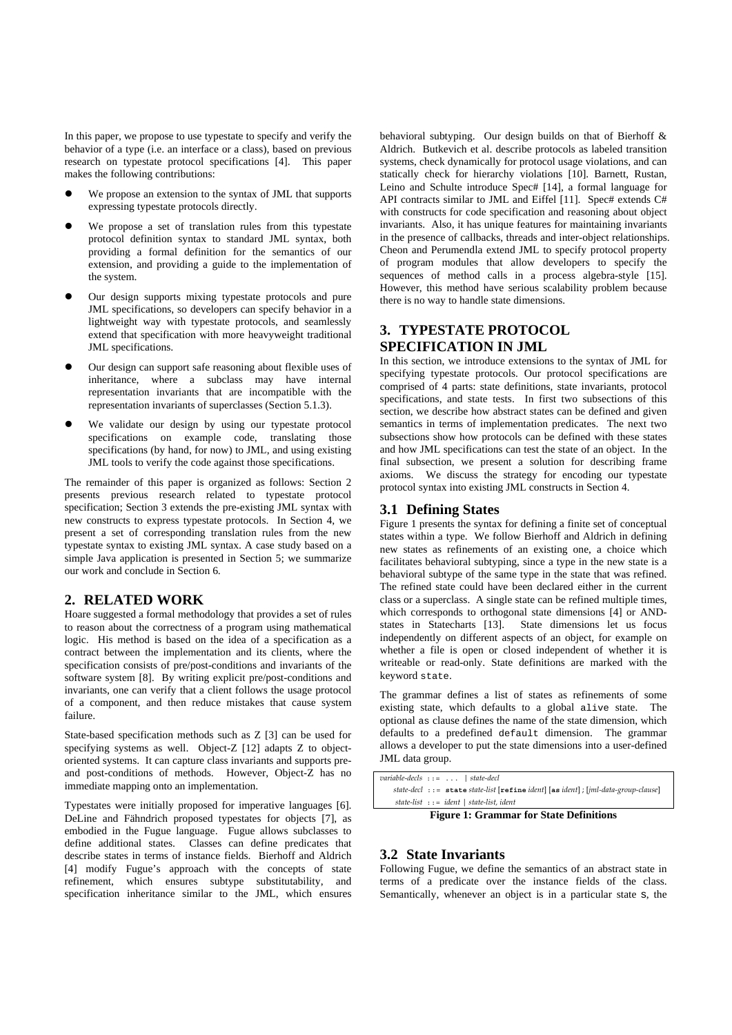In this paper, we propose to use typestate to specify and verify the behavior of a type (i.e. an interface or a class), based on previous research on typestate protocol specifications [4]. This paper makes the following contributions:

- We propose an extension to the syntax of JML that supports expressing typestate protocols directly.
- We propose a set of translation rules from this typestate protocol definition syntax to standard JML syntax, both providing a formal definition for the semantics of our extension, and providing a guide to the implementation of the system.
- Our design supports mixing typestate protocols and pure JML specifications, so developers can specify behavior in a lightweight way with typestate protocols, and seamlessly extend that specification with more heavyweight traditional JML specifications.
- Our design can support safe reasoning about flexible uses of inheritance, where a subclass may have internal representation invariants that are incompatible with the representation invariants of superclasses (Section 5.1.3).
- We validate our design by using our typestate protocol specifications on example code, translating those specifications (by hand, for now) to JML, and using existing JML tools to verify the code against those specifications.

The remainder of this paper is organized as follows: Section 2 presents previous research related to typestate protocol specification; Section 3 extends the pre-existing JML syntax with new constructs to express typestate protocols. In Section 4, we present a set of corresponding translation rules from the new typestate syntax to existing JML syntax. A case study based on a simple Java application is presented in Section 5; we summarize our work and conclude in Section 6.

# **2. RELATED WORK**

Hoare suggested a formal methodology that provides a set of rules to reason about the correctness of a program using mathematical logic. His method is based on the idea of a specification as a contract between the implementation and its clients, where the specification consists of pre/post-conditions and invariants of the software system [8]. By writing explicit pre/post-conditions and invariants, one can verify that a client follows the usage protocol of a component, and then reduce mistakes that cause system failure.

State-based specification methods such as Z [3] can be used for specifying systems as well. Object-Z [12] adapts Z to objectoriented systems. It can capture class invariants and supports preand post-conditions of methods. However, Object-Z has no immediate mapping onto an implementation.

Typestates were initially proposed for imperative languages [6]. DeLine and Fähndrich proposed typestates for objects [7], as embodied in the Fugue language. Fugue allows subclasses to define additional states. Classes can define predicates that describe states in terms of instance fields. Bierhoff and Aldrich [4] modify Fugue's approach with the concepts of state refinement, which ensures subtype substitutability, and specification inheritance similar to the JML, which ensures

behavioral subtyping. Our design builds on that of Bierhoff & Aldrich. Butkevich et al. describe protocols as labeled transition systems, check dynamically for protocol usage violations, and can statically check for hierarchy violations [10]. Barnett, Rustan, Leino and Schulte introduce Spec# [14], a formal language for API contracts similar to JML and Eiffel [11]. Spec# extends C# with constructs for code specification and reasoning about object invariants. Also, it has unique features for maintaining invariants in the presence of callbacks, threads and inter-object relationships. Cheon and Perumendla extend JML to specify protocol property of program modules that allow developers to specify the sequences of method calls in a process algebra-style [15]. However, this method have serious scalability problem because there is no way to handle state dimensions.

# **3. TYPESTATE PROTOCOL SPECIFICATION IN JML**

In this section, we introduce extensions to the syntax of JML for specifying typestate protocols. Our protocol specifications are comprised of 4 parts: state definitions, state invariants, protocol specifications, and state tests. In first two subsections of this section, we describe how abstract states can be defined and given semantics in terms of implementation predicates. The next two subsections show how protocols can be defined with these states and how JML specifications can test the state of an object. In the final subsection, we present a solution for describing frame axioms. We discuss the strategy for encoding our typestate protocol syntax into existing JML constructs in Section 4.

# **3.1 Defining States**

Figure 1 presents the syntax for defining a finite set of conceptual states within a type. We follow Bierhoff and Aldrich in defining new states as refinements of an existing one, a choice which facilitates behavioral subtyping, since a type in the new state is a behavioral subtype of the same type in the state that was refined. The refined state could have been declared either in the current class or a superclass. A single state can be refined multiple times, which corresponds to orthogonal state dimensions [4] or ANDstates in Statecharts [13]. State dimensions let us focus independently on different aspects of an object, for example on whether a file is open or closed independent of whether it is writeable or read-only. State definitions are marked with the keyword state.

The grammar defines a list of states as refinements of some existing state, which defaults to a global alive state. The optional as clause defines the name of the state dimension, which defaults to a predefined default dimension. The grammar allows a developer to put the state dimensions into a user-defined JML data group.

*variable-decls* ::= ... *| state-decl state-decl* ::= **state** *state-list* [**refine** *ident*] [**as** *ident*] ; [*jml-data-group-clause*]  *state-list* ::= *ident* | *state-list, ident*

**Figure 1: Grammar for State Definitions** 

# **3.2 State Invariants**

Following Fugue, we define the semantics of an abstract state in terms of a predicate over the instance fields of the class. Semantically, whenever an object is in a particular state s, the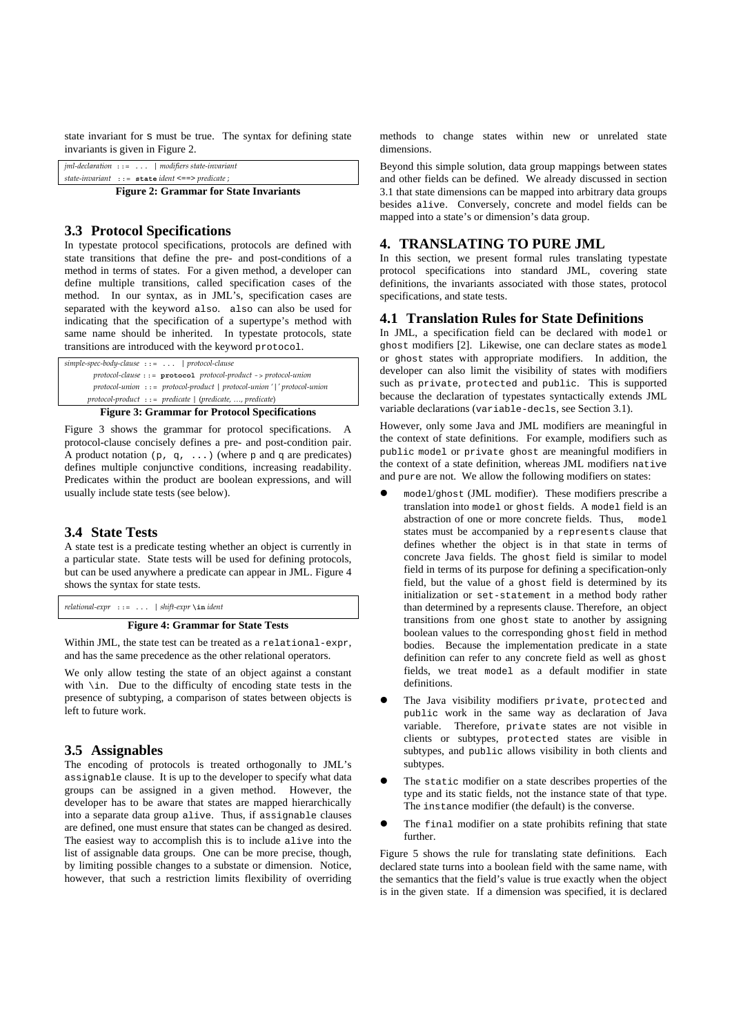state invariant for s must be true. The syntax for defining state invariants is given in Figure 2.

|  | $jml-declaration$ ::=    modifiers state-invariant   |
|--|------------------------------------------------------|
|  | state-invariant $\cdots$ state ident <==> predicate; |

**Figure 2: Grammar for State Invariants** 

# **3.3 Protocol Specifications**

In typestate protocol specifications, protocols are defined with state transitions that define the pre- and post-conditions of a method in terms of states. For a given method, a developer can define multiple transitions, called specification cases of the method. In our syntax, as in JML's, specification cases are separated with the keyword also. also can also be used for indicating that the specification of a supertype's method with same name should be inherited. In typestate protocols, state transitions are introduced with the keyword protocol.

| <b>Figure 3: Grammar for Protocol Specifications</b>                    |
|-------------------------------------------------------------------------|
| $protocol-product ::= predicate   (predicate, , predicate)$             |
| $protocol-union ::=protocol-product   protocol-union' ' protocol-union$ |
| $protocol-clause ::= protocol protocol-product - > protocol-union$      |
| $simple\text{-}spec\text{-}body\text{-}clause$ : : =    protocol-clause |

Figure 3 shows the grammar for protocol specifications. A protocol-clause concisely defines a pre- and post-condition pair. A product notation  $(p, q, \ldots)$  (where p and q are predicates) defines multiple conjunctive conditions, increasing readability. Predicates within the product are boolean expressions, and will usually include state tests (see below).

# **3.4 State Tests**

A state test is a predicate testing whether an object is currently in a particular state. State tests will be used for defining protocols, but can be used anywhere a predicate can appear in JML. Figure 4 shows the syntax for state tests.

*relational-expr* ::= ... *| shift-expr* **\in** *ident* 

#### **Figure 4: Grammar for State Tests**

Within JML, the state test can be treated as a relational-expr. and has the same precedence as the other relational operators.

We only allow testing the state of an object against a constant with \in. Due to the difficulty of encoding state tests in the presence of subtyping, a comparison of states between objects is left to future work.

# **3.5 Assignables**

The encoding of protocols is treated orthogonally to JML's assignable clause. It is up to the developer to specify what data groups can be assigned in a given method. However, the developer has to be aware that states are mapped hierarchically into a separate data group alive. Thus, if assignable clauses are defined, one must ensure that states can be changed as desired. The easiest way to accomplish this is to include alive into the list of assignable data groups. One can be more precise, though, by limiting possible changes to a substate or dimension. Notice, however, that such a restriction limits flexibility of overriding methods to change states within new or unrelated state dimensions.

Beyond this simple solution, data group mappings between states and other fields can be defined. We already discussed in section 3.1 that state dimensions can be mapped into arbitrary data groups besides alive. Conversely, concrete and model fields can be mapped into a state's or dimension's data group.

# **4. TRANSLATING TO PURE JML**

In this section, we present formal rules translating typestate protocol specifications into standard JML, covering state definitions, the invariants associated with those states, protocol specifications, and state tests.

# **4.1 Translation Rules for State Definitions**

In JML, a specification field can be declared with model or ghost modifiers [2]. Likewise, one can declare states as model or ghost states with appropriate modifiers. In addition, the developer can also limit the visibility of states with modifiers such as private, protected and public. This is supported because the declaration of typestates syntactically extends JML variable declarations (variable-decls, see Section 3.1).

However, only some Java and JML modifiers are meaningful in the context of state definitions. For example, modifiers such as public model or private ghost are meaningful modifiers in the context of a state definition, whereas JML modifiers native and pure are not. We allow the following modifiers on states:

- model/ghost (JML modifier). These modifiers prescribe a translation into model or ghost fields. A model field is an abstraction of one or more concrete fields. Thus, model states must be accompanied by a represents clause that defines whether the object is in that state in terms of concrete Java fields. The ghost field is similar to model field in terms of its purpose for defining a specification-only field, but the value of a ghost field is determined by its initialization or set-statement in a method body rather than determined by a represents clause. Therefore, an object transitions from one ghost state to another by assigning boolean values to the corresponding ghost field in method bodies. Because the implementation predicate in a state definition can refer to any concrete field as well as ghost fields, we treat model as a default modifier in state definitions.
- The Java visibility modifiers private, protected and public work in the same way as declaration of Java variable. Therefore, private states are not visible in clients or subtypes, protected states are visible in subtypes, and public allows visibility in both clients and subtypes.
- The static modifier on a state describes properties of the type and its static fields, not the instance state of that type. The instance modifier (the default) is the converse.
- The final modifier on a state prohibits refining that state further.

Figure 5 shows the rule for translating state definitions. Each declared state turns into a boolean field with the same name, with the semantics that the field's value is true exactly when the object is in the given state. If a dimension was specified, it is declared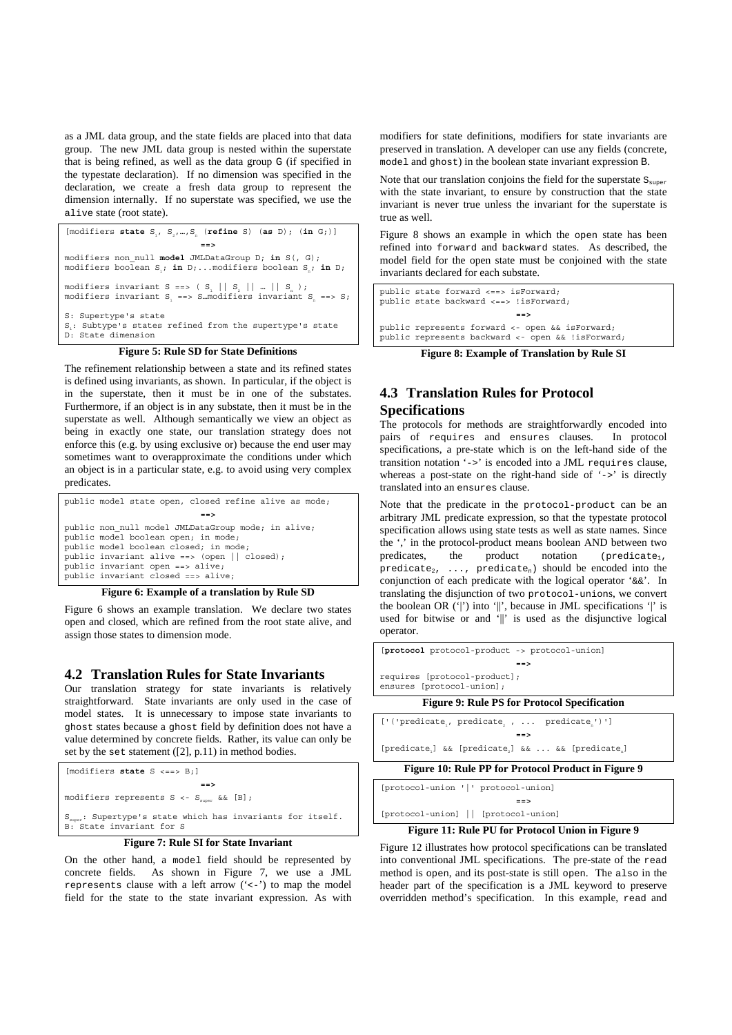as a JML data group, and the state fields are placed into that data group. The new JML data group is nested within the superstate that is being refined, as well as the data group G (if specified in the typestate declaration). If no dimension was specified in the declaration, we create a fresh data group to represent the dimension internally. If no superstate was specified, we use the alive state (root state).

```
[modifiers state S_1, S_2, ..., S_n (refine S) (as D); (in G;)]==> 
modifiers non_null model JMLDataGroup D; in S(, G); 
modifiers boolean S<sub>1</sub>; in D;...modifiers boolean S<sub>n</sub>; in D;
modifiers invariant S == > (S, || S, || ... || S_+);
modifiers invariant S_1 == > S... modifiers invariant S_n == > S;
S: Supertype's state 
S_i: Subtype's states refined from the supertype's state<br>D: State dimension
```
#### **Figure 5: Rule SD for State Definitions**

The refinement relationship between a state and its refined states is defined using invariants, as shown. In particular, if the object is in the superstate, then it must be in one of the substates. Furthermore, if an object is in any substate, then it must be in the superstate as well. Although semantically we view an object as being in exactly one state, our translation strategy does not enforce this (e.g. by using exclusive or) because the end user may sometimes want to overapproximate the conditions under which an object is in a particular state, e.g. to avoid using very complex predicates.

```
public model state open, closed refine alive as mode; 
                            ==> 
public non_null model JMLDataGroup mode; in alive; 
public model boolean open; in mode; 
public model boolean closed; in mode; 
public invariant alive ==> (open || closed);
public invariant open ==> alive; 
public invariant closed ==> alive;
```
**Figure 6: Example of a translation by Rule SD** 

Figure 6 shows an example translation. We declare two states open and closed, which are refined from the root state alive, and assign those states to dimension mode.

#### **4.2 Translation Rules for State Invariants**

Our translation strategy for state invariants is relatively straightforward. State invariants are only used in the case of model states. It is unnecessary to impose state invariants to ghost states because a ghost field by definition does not have a value determined by concrete fields. Rather, its value can only be set by the set statement ([2], p.11) in method bodies.

```
[modifiers state S <==> B;] 
                                      ==> 
modifiers represents S \leftarrow S_{\text{super}} && [B];
    .: Supertype's state which has invariants for itself.
B<sub>super</sub>. Supporting.<br>B: State invariant for S
```
#### **Figure 7: Rule SI for State Invariant**

On the other hand, a model field should be represented by concrete fields. As shown in Figure 7, we use a JML represents clause with a left arrow  $(*-)$  to map the model field for the state to the state invariant expression. As with

modifiers for state definitions, modifiers for state invariants are preserved in translation. A developer can use any fields (concrete, model and ghost) in the boolean state invariant expression B.

Note that our translation conjoins the field for the superstate  $S<sub>super</sub>$ with the state invariant, to ensure by construction that the state invariant is never true unless the invariant for the superstate is true as well.

Figure 8 shows an example in which the open state has been refined into forward and backward states. As described, the model field for the open state must be conjoined with the state invariants declared for each substate.

```
public state forward <==> isForward; 
public state backward <==> !isForward; 
                            ==> 
public represents forward <- open && isForward; 
public represents backward <- open && !isForward;
```
**Figure 8: Example of Translation by Rule SI** 

# **4.3 Translation Rules for Protocol Specifications**

The protocols for methods are straightforwardly encoded into pairs of requires and ensures clauses. In protocol specifications, a pre-state which is on the left-hand side of the transition notation '->' is encoded into a JML requires clause, whereas a post-state on the right-hand side of '->' is directly translated into an ensures clause.

Note that the predicate in the protocol-product can be an arbitrary JML predicate expression, so that the typestate protocol specification allows using state tests as well as state names. Since the ',' in the protocol-product means boolean AND between two predicates, the product notation ( $predicate<sub>1</sub>$ , predicate<sub>2</sub>, ..., predicate<sub>n</sub>) should be encoded into the conjunction of each predicate with the logical operator '&&'. In translating the disjunction of two protocol-unions, we convert the boolean OR  $('')$  into '||', because in JML specifications '|' is used for bitwise or and '||' is used as the disjunctive logical operator.

```
[protocol protocol-product -> protocol-union] 
                          ==> 
requires [protocol-product]; 
ensures [protocol-union]; 
       Figure 9: Rule PS for Protocol Specification 
['('predicate, predicate, , ...]
```

```
==> 
[predicate<sub>,</sub>] && [predicate<sub>,</sub>] && ... && [predicate<sub>n</sub>]
```
#### **Figure 10: Rule PP for Protocol Product in Figure 9**

[protocol-union '|' protocol-union]

```
[protocol-union] || [protocol-union]
```
#### **Figure 11: Rule PU for Protocol Union in Figure 9**

**==>** 

Figure 12 illustrates how protocol specifications can be translated into conventional JML specifications. The pre-state of the read method is open, and its post-state is still open. The also in the header part of the specification is a JML keyword to preserve overridden method's specification. In this example, read and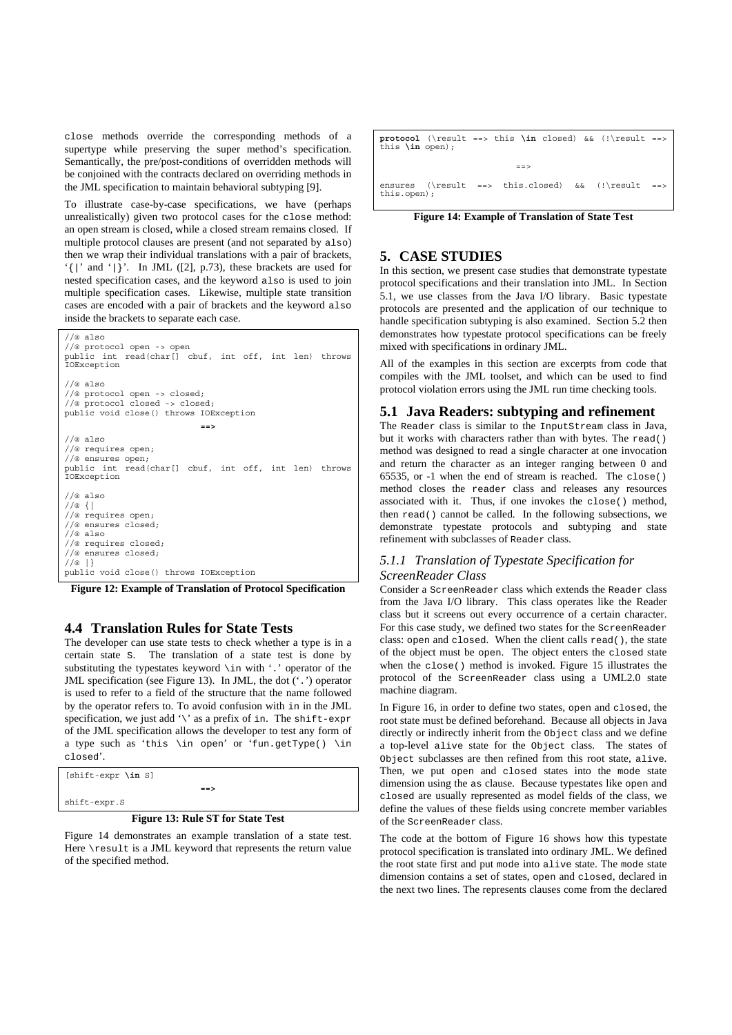close methods override the corresponding methods of a supertype while preserving the super method's specification. Semantically, the pre/post-conditions of overridden methods will be conjoined with the contracts declared on overriding methods in the JML specification to maintain behavioral subtyping [9].

To illustrate case-by-case specifications, we have (perhaps unrealistically) given two protocol cases for the close method: an open stream is closed, while a closed stream remains closed. If multiple protocol clauses are present (and not separated by also) then we wrap their individual translations with a pair of brackets, '{ $\vert$ ' and ' $\vert$ '. In JML ([2], p.73), these brackets are used for nested specification cases, and the keyword also is used to join multiple specification cases. Likewise, multiple state transition cases are encoded with a pair of brackets and the keyword also inside the brackets to separate each case.

| $//@$ also<br>//@ protocol open -> open<br>public int read(char[] cbuf, int off, int len) throws<br>IOException                                                                                  |  |  |  |  |  |  |  |  |  |  |
|--------------------------------------------------------------------------------------------------------------------------------------------------------------------------------------------------|--|--|--|--|--|--|--|--|--|--|
| $1/\omega$ also<br>//@ protocol open -> closed;<br>//@ protocol closed -> closed;<br>public void close() throws IOException                                                                      |  |  |  |  |  |  |  |  |  |  |
| $==$                                                                                                                                                                                             |  |  |  |  |  |  |  |  |  |  |
| $//@$ also<br>//@ requires open;<br>$//@$ ensures open;<br>public int read(char[] cbuf, int off, int len) throws<br>IOException                                                                  |  |  |  |  |  |  |  |  |  |  |
| $//@$ also<br>$1/e$ {<br>//@ requires open;<br>//@ ensures closed;<br>$1/\omega$ also<br>//@ requires closed;<br>//@ ensures closed;<br>$1/\mathsf{a}$<br>public void close() throws IOException |  |  |  |  |  |  |  |  |  |  |

**Figure 12: Example of Translation of Protocol Specification** 

#### **4.4 Translation Rules for State Tests**

The developer can use state tests to check whether a type is in a certain state S. The translation of a state test is done by substituting the typestates keyword \in with '.' operator of the JML specification (see Figure 13). In JML, the dot ('.') operator is used to refer to a field of the structure that the name followed by the operator refers to. To avoid confusion with in in the JML specification, we just add '\' as a prefix of in. The shift-expr of the JML specification allows the developer to test any form of a type such as 'this \in open' or 'fun.getType() \in closed'.

| $[shift-expr \ in S]$ |      |
|-----------------------|------|
|                       | $==$ |
| shift-expr.S          |      |

**Figure 13: Rule ST for State Test** 

Figure 14 demonstrates an example translation of a state test. Here \result is a JML keyword that represents the return value of the specified method.

| protocol (\result ==> this \in closed) && (!\result ==><br>this $\sin$ open); |  |      |  |  |
|-------------------------------------------------------------------------------|--|------|--|--|
|                                                                               |  | $==$ |  |  |
| ensures (\result ==> this.closed) && (!\result ==><br>this.open);             |  |      |  |  |

**Figure 14: Example of Translation of State Test** 

# **5. CASE STUDIES**

In this section, we present case studies that demonstrate typestate protocol specifications and their translation into JML. In Section 5.1, we use classes from the Java I/O library. Basic typestate protocols are presented and the application of our technique to handle specification subtyping is also examined. Section 5.2 then demonstrates how typestate protocol specifications can be freely mixed with specifications in ordinary JML.

All of the examples in this section are excerpts from code that compiles with the JML toolset, and which can be used to find protocol violation errors using the JML run time checking tools.

#### **5.1 Java Readers: subtyping and refinement**

The Reader class is similar to the InputStream class in Java, but it works with characters rather than with bytes. The read() method was designed to read a single character at one invocation and return the character as an integer ranging between 0 and 65535, or -1 when the end of stream is reached. The close() method closes the reader class and releases any resources associated with it. Thus, if one invokes the close() method, then read() cannot be called. In the following subsections, we demonstrate typestate protocols and subtyping and state refinement with subclasses of Reader class.

#### *5.1.1 Translation of Typestate Specification for ScreenReader Class*

Consider a ScreenReader class which extends the Reader class from the Java I/O library. This class operates like the Reader class but it screens out every occurrence of a certain character. For this case study, we defined two states for the ScreenReader class: open and closed. When the client calls read(), the state of the object must be open. The object enters the closed state when the close() method is invoked. Figure 15 illustrates the protocol of the ScreenReader class using a UML2.0 state machine diagram.

In Figure 16, in order to define two states, open and closed, the root state must be defined beforehand. Because all objects in Java directly or indirectly inherit from the Object class and we define a top-level alive state for the Object class. The states of Object subclasses are then refined from this root state, alive. Then, we put open and closed states into the mode state dimension using the as clause. Because typestates like open and closed are usually represented as model fields of the class, we define the values of these fields using concrete member variables of the ScreenReader class.

The code at the bottom of Figure 16 shows how this typestate protocol specification is translated into ordinary JML. We defined the root state first and put mode into alive state. The mode state dimension contains a set of states, open and closed, declared in the next two lines. The represents clauses come from the declared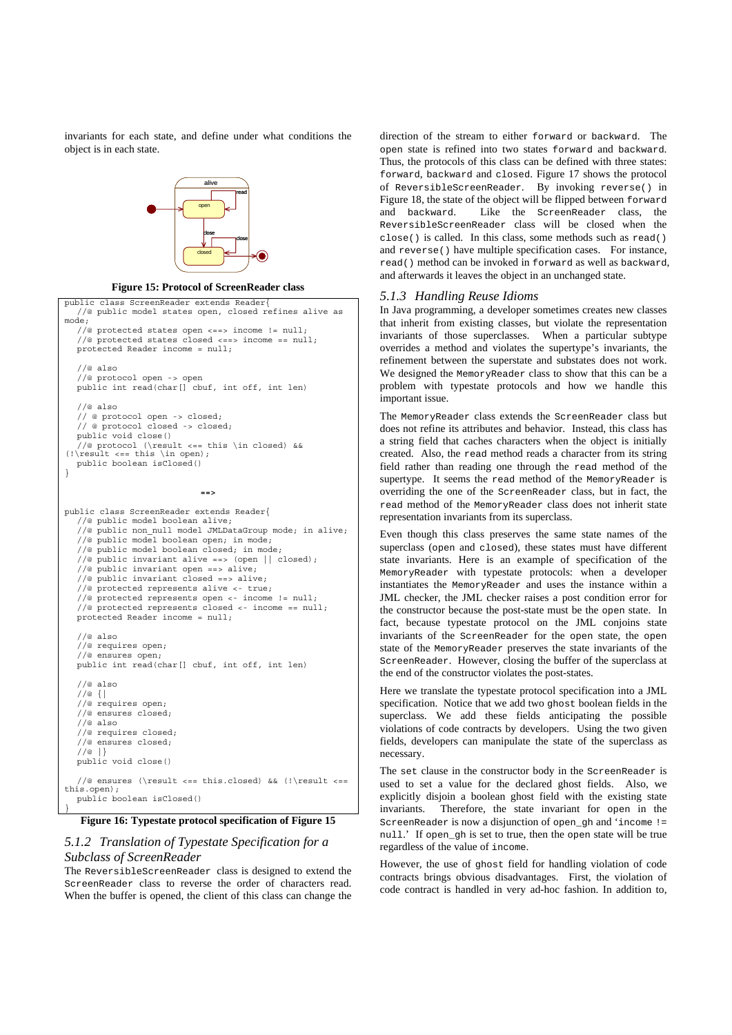invariants for each state, and define under what conditions the object is in each state.



#### **Figure 15: Protocol of ScreenReader class**

public class ScreenReader extends Reader{ //@ public model states open, closed refines alive as mode; //@ protected states open <==> income != null; //@ protected states closed <==> income == null; protected Reader income = null; //@ also //@ protocol open -> open public int read(char[] cbuf, int off, int len) //@ also // @ protocol open -> closed; // @ protocol closed -> closed; public void close() //@ protocol (\result <== this \in closed) &&  $(!\rceil = \text{this } \in \text{open};$ public boolean isClosed() } **==>**  public class ScreenReader extends Reader{ //@ public model boolean alive; ...<br>//@ public non\_null model JMLDataGroup mode; in alive; //@ public model boolean open; in mode; //@ public model boolean closed; in mode; //@ public invariant alive ==> (open || closed); //@ public invariant open ==> alive; //@ public invariant closed ==> alive; //@ protected represents alive <- true; //@ protected represents open <- income != null; //@ protected represents closed <- income == null; protected Reader income = null;  $1/a$  also //@ requires open; //@ ensures open; public int read(char[] cbuf, int off, int len)  $1/a$  also //@ {| //@ requires open; //@ ensures closed; //@ also //@ requires closed; //@ ensures closed; //@ |} public void close()  $1/\omega$  ensures (\result <== this.closed) && (!\result <== this.open); public boolean isClosed() }

**Figure 16: Typestate protocol specification of Figure 15** 

## *5.1.2 Translation of Typestate Specification for a Subclass of ScreenReader*

The ReversibleScreenReader class is designed to extend the ScreenReader class to reverse the order of characters read. When the buffer is opened, the client of this class can change the

direction of the stream to either forward or backward. The open state is refined into two states forward and backward. Thus, the protocols of this class can be defined with three states: forward, backward and closed. Figure 17 shows the protocol of ReversibleScreenReader. By invoking reverse() in Figure 18, the state of the object will be flipped between forward and backward. Like the ScreenReader class, the ReversibleScreenReader class will be closed when the close() is called. In this class, some methods such as read() and reverse() have multiple specification cases. For instance, read() method can be invoked in forward as well as backward, and afterwards it leaves the object in an unchanged state.

#### *5.1.3 Handling Reuse Idioms*

In Java programming, a developer sometimes creates new classes that inherit from existing classes, but violate the representation invariants of those superclasses. When a particular subtype overrides a method and violates the supertype's invariants, the refinement between the superstate and substates does not work. We designed the MemoryReader class to show that this can be a problem with typestate protocols and how we handle this important issue.

The MemoryReader class extends the ScreenReader class but does not refine its attributes and behavior. Instead, this class has a string field that caches characters when the object is initially created. Also, the read method reads a character from its string field rather than reading one through the read method of the supertype. It seems the read method of the MemoryReader is overriding the one of the ScreenReader class, but in fact, the read method of the MemoryReader class does not inherit state representation invariants from its superclass.

Even though this class preserves the same state names of the superclass (open and closed), these states must have different state invariants. Here is an example of specification of the MemoryReader with typestate protocols: when a developer instantiates the MemoryReader and uses the instance within a JML checker, the JML checker raises a post condition error for the constructor because the post-state must be the open state. In fact, because typestate protocol on the JML conjoins state invariants of the ScreenReader for the open state, the open state of the MemoryReader preserves the state invariants of the ScreenReader. However, closing the buffer of the superclass at the end of the constructor violates the post-states.

Here we translate the typestate protocol specification into a JML specification. Notice that we add two ghost boolean fields in the superclass. We add these fields anticipating the possible violations of code contracts by developers. Using the two given fields, developers can manipulate the state of the superclass as necessary.

The set clause in the constructor body in the ScreenReader is used to set a value for the declared ghost fields. Also, we explicitly disjoin a boolean ghost field with the existing state invariants. Therefore, the state invariant for open in the ScreenReader is now a disjunction of open\_gh and 'income != null.' If open\_gh is set to true, then the open state will be true regardless of the value of income.

However, the use of ghost field for handling violation of code contracts brings obvious disadvantages. First, the violation of code contract is handled in very ad-hoc fashion. In addition to,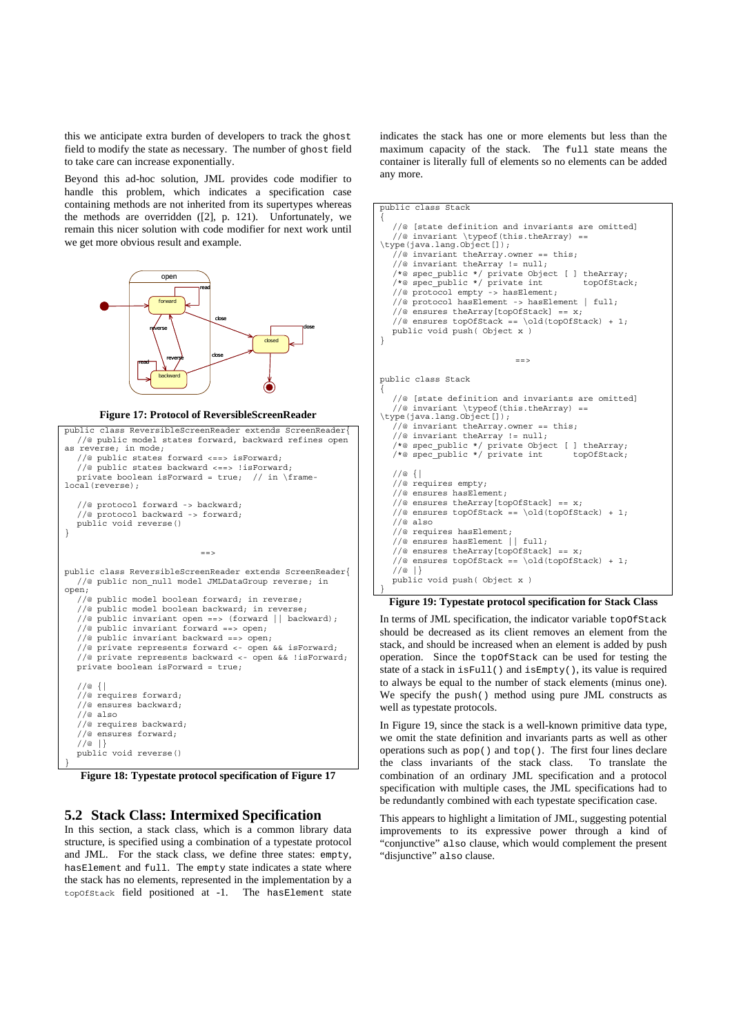this we anticipate extra burden of developers to track the ghost field to modify the state as necessary. The number of ghost field to take care can increase exponentially.

Beyond this ad-hoc solution, JML provides code modifier to handle this problem, which indicates a specification case containing methods are not inherited from its supertypes whereas the methods are overridden ([2], p. 121). Unfortunately, we remain this nicer solution with code modifier for next work until we get more obvious result and example.



**Figure 17: Protocol of ReversibleScreenReader** 



**Figure 18: Typestate protocol specification of Figure 17** 

#### **5.2 Stack Class: Intermixed Specification**

In this section, a stack class, which is a common library data structure, is specified using a combination of a typestate protocol and JML. For the stack class, we define three states: empty, hasElement and full. The empty state indicates a state where the stack has no elements, represented in the implementation by a topOfStack field positioned at -1. The hasElement state

indicates the stack has one or more elements but less than the maximum capacity of the stack. The full state means the container is literally full of elements so no elements can be added any more.

```
public class Stack 
{ 
   //@ [state definition and invariants are omitted] 
//@ invariant \typeof(this.theArray) == 
\type(java.lang.Object[]); 
   //@ invariant theArray.owner == this; 
   //@ invariant theArray != null;/*@ spec_public */ private Object [ ] theArray; 
/*@ spec_public */ private int topOfStack; 
//@ protocol empty -> hasElement; 
   //@ protocol hasElement -> hasElement | full; 
   //@ ensures theArray[topOfStack] == x; 
   1/@ ensures topOfStack == \old(topOfStack) + 1;
  public void push( Object x ) 
} 
                                =public class Stack 
{ 
   //@ [state definition and invariants are omitted] 
   //@ invariant \typeof(this.theArray) ==
\type(java.lang.Object[]);
   //@ invariant theArray.owner == this; 
   //@ invariant theArray != null; 
   /*@ spec_public */ private Object [ ] theArray; 
/*@ spec_public */ private int topOfStack; 
   //@ {| 
   //@ requires empty; 
   \overline{1/2} ensures has Element;
   ...<br>//@ ensures theArray[topOfStack] == x;
   //@ ensures topOfStack == \old(topOfStack) + 1; 
   1/a also
   ..<br>//@ requires hasElement;
   1/@ ensures hasElement || full;
   //@ ensures theArray[topOfStack] == x; 
   //@ ensures topOfStack == \old(topOfStack) + 1; 
   1/2 | }
  public void push( Object x ) 
}
```
**Figure 19: Typestate protocol specification for Stack Class** 

In terms of JML specification, the indicator variable topOfStack should be decreased as its client removes an element from the stack, and should be increased when an element is added by push operation. Since the topOfStack can be used for testing the state of a stack in isFull() and isEmpty(), its value is required to always be equal to the number of stack elements (minus one). We specify the push() method using pure JML constructs as well as typestate protocols.

In Figure 19, since the stack is a well-known primitive data type, we omit the state definition and invariants parts as well as other operations such as pop() and top(). The first four lines declare the class invariants of the stack class. To translate the combination of an ordinary JML specification and a protocol specification with multiple cases, the JML specifications had to be redundantly combined with each typestate specification case.

This appears to highlight a limitation of JML, suggesting potential improvements to its expressive power through a kind of "conjunctive" also clause, which would complement the present "disjunctive" also clause.